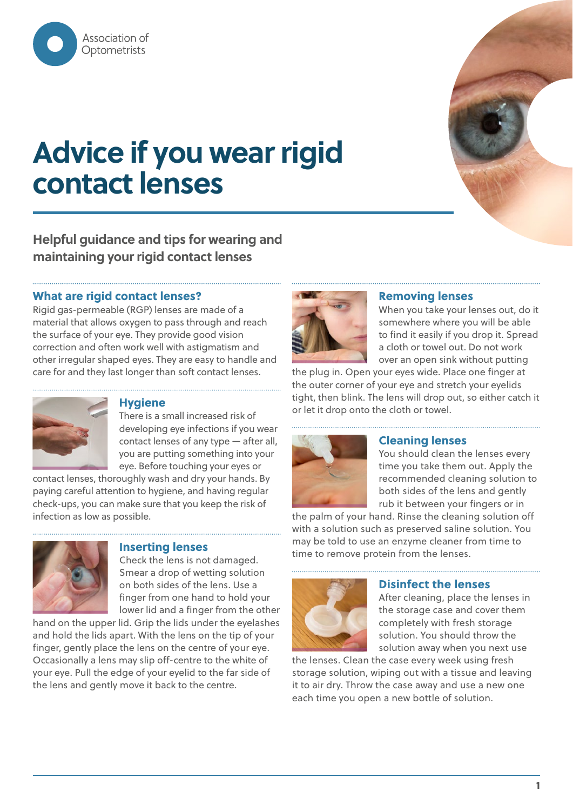

# **Advice if you wear rigid contact lenses**

### **Helpful guidance and tips for wearing and maintaining your rigid contact lenses**

#### **What are rigid contact lenses?**

Rigid gas-permeable (RGP) lenses are made of a material that allows oxygen to pass through and reach the surface of your eye. They provide good vision correction and often work well with astigmatism and other irregular shaped eyes. They are easy to handle and care for and they last longer than soft contact lenses.



#### **Hygiene**

There is a small increased risk of developing eye infections if you wear contact lenses of any type — after all, you are putting something into your eye. Before touching your eyes or

contact lenses, thoroughly wash and dry your hands. By paying careful attention to hygiene, and having regular check-ups, you can make sure that you keep the risk of infection as low as possible.



#### **Inserting lenses**

Check the lens is not damaged. Smear a drop of wetting solution on both sides of the lens. Use a finger from one hand to hold your lower lid and a finger from the other

hand on the upper lid. Grip the lids under the eyelashes and hold the lids apart. With the lens on the tip of your finger, gently place the lens on the centre of your eye. Occasionally a lens may slip off-centre to the white of your eye. Pull the edge of your eyelid to the far side of the lens and gently move it back to the centre.



#### **Removing lenses**

When you take your lenses out, do it somewhere where you will be able to find it easily if you drop it. Spread a cloth or towel out. Do not work over an open sink without putting

the plug in. Open your eyes wide. Place one finger at the outer corner of your eye and stretch your eyelids tight, then blink. The lens will drop out, so either catch it or let it drop onto the cloth or towel.



#### **Cleaning lenses**

You should clean the lenses every time you take them out. Apply the recommended cleaning solution to both sides of the lens and gently rub it between your fingers or in

the palm of your hand. Rinse the cleaning solution off with a solution such as preserved saline solution. You may be told to use an enzyme cleaner from time to time to remove protein from the lenses.



#### **Disinfect the lenses**

After cleaning, place the lenses in the storage case and cover them completely with fresh storage solution. You should throw the solution away when you next use

the lenses. Clean the case every week using fresh storage solution, wiping out with a tissue and leaving it to air dry. Throw the case away and use a new one each time you open a new bottle of solution.